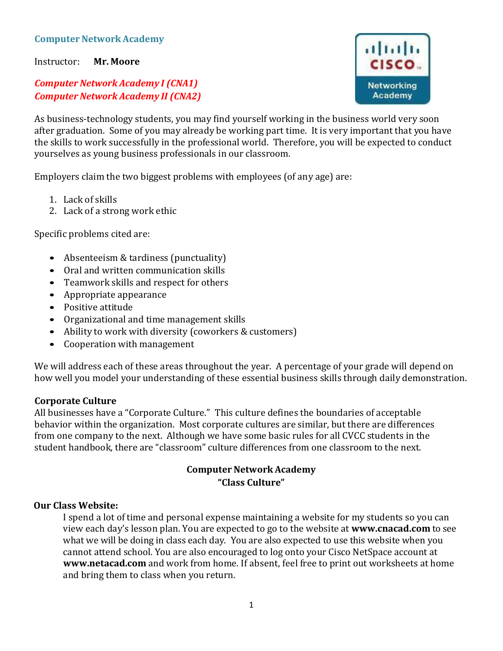## **Computer Network Academy**

Instructor: **Mr. Moore**

# *Computer Network Academy I (CNA1) Computer Network Academy II (CNA2)*

As business-technology students, you may find yourself working in the business world very soon after graduation. Some of you may already be working part time. It is very important that you have the skills to work successfully in the professional world. Therefore, you will be expected to conduct yourselves as young business professionals in our classroom.

Employers claim the two biggest problems with employees (of any age) are:

- 1. Lack of skills
- 2. Lack of a strong work ethic

Specific problems cited are:

- Absenteeism & tardiness (punctuality)
- Oral and written communication skills
- Teamwork skills and respect for others
- Appropriate appearance
- Positive attitude
- Organizational and time management skills
- Ability to work with diversity (coworkers & customers)
- Cooperation with management

We will address each of these areas throughout the year. A percentage of your grade will depend on how well you model your understanding of these essential business skills through daily demonstration.

## **Corporate Culture**

All businesses have a "Corporate Culture." This culture defines the boundaries of acceptable behavior within the organization. Most corporate cultures are similar, but there are differences from one company to the next. Although we have some basic rules for all CVCC students in the student handbook, there are "classroom" culture differences from one classroom to the next.

## **Computer Network Academy "Class Culture"**

#### **Our Class Website:**

I spend a lot of time and personal expense maintaining a website for my students so you can view each day's lesson plan. You are expected to go to the website at **[www.cnacad.com](http://www.cnacad.com/)** to see what we will be doing in class each day. You are also expected to use this website when you cannot attend school. You are also encouraged to log onto your Cisco NetSpace account at **[www.netacad.com](http://www.netacad.com/)** and work from home. If absent, feel free to print out worksheets at home and bring them to class when you return.

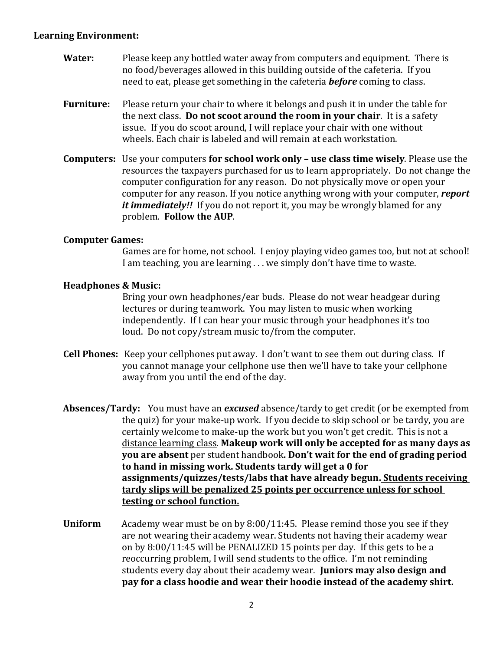#### **Learning Environment:**

- **Water:** Please keep any bottled water away from computers and equipment. There is no food/beverages allowed in this building outside of the cafeteria. If you need to eat, please get something in the cafeteria *before* coming to class.
- **Furniture:** Please return your chair to where it belongs and push it in under the table for the next class. **Do not scoot around the room in your chair**. It is a safety issue. If you do scoot around, I will replace your chair with one without wheels. Each chair is labeled and will remain at each workstation.
- **Computers:** Use your computers **for school work only – use class time wisely**. Please use the resources the taxpayers purchased for us to learn appropriately. Do not change the computer configuration for any reason. Do not physically move or open your computer for any reason. If you notice anything wrong with your computer, *report it immediately!!* If you do not report it, you may be wrongly blamed for any problem. **Follow the AUP**.

## **Computer Games:**

Games are for home, not school. I enjoy playing video games too, but not at school! I am teaching, you are learning . . . we simply don't have time to waste.

### **Headphones & Music:**

Bring your own headphones/ear buds. Please do not wear headgear during lectures or during teamwork. You may listen to music when working independently. If I can hear your music through your headphones it's too loud. Do not copy/stream music to/from the computer.

- **Cell Phones:** Keep your cellphones put away. I don't want to see them out during class. If you cannot manage your cellphone use then we'll have to take your cellphone away from you until the end of the day.
- **Absences/Tardy:** You must have an *excused* absence/tardy to get credit (or be exempted from the quiz) for your make-up work. If you decide to skip school or be tardy, you are certainly welcome to make-up the work but you won't get credit. This is not a distance learning class. **Makeup work will only be accepted for as many days as you are absent** per student handbook**. Don't wait for the end of grading period to hand in missing work. Students tardy will get a 0 for assignments/quizzes/tests/labs that have already begun. Students receiving tardy slips will be penalized 25 points per occurrence unless for school testing or school function.**
- **Uniform** Academy wear must be on by 8:00/11:45.Please remind those you see if they are not wearing their academy wear. Students not having their academy wear on by 8:00/11:45 will be PENALIZED 15 points per day. If this gets to be a reoccurring problem, I will send students to the office. I'm not reminding students every day about their academy wear. **Juniors may also design and pay for a class hoodie and wear their hoodie instead of the academy shirt.**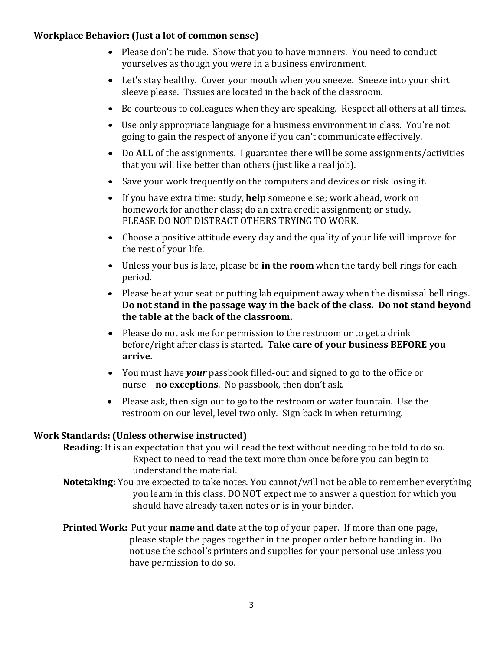## **Workplace Behavior: (Just a lot of common sense)**

- Please don't be rude. Show that you to have manners. You need to conduct yourselves as though you were in a business environment.
- Let's stay healthy. Cover your mouth when you sneeze. Sneeze into your shirt sleeve please. Tissues are located in the back of the classroom.
- Be courteous to colleagues when they are speaking. Respect all others at all times.
- Use only appropriate language for a business environment in class. You're not going to gain the respect of anyone if you can't communicate effectively.
- Do **ALL** of the assignments. I guarantee there will be some assignments/activities that you will like better than others (just like a real job).
- Save your work frequently on the computers and devices or risk losing it.
- If you have extra time: study, **help** someone else; work ahead, work on homework for another class; do an extra credit assignment; or study. PLEASE DO NOT DISTRACT OTHERS TRYING TO WORK.
- Choose a positive attitude every day and the quality of your life will improve for the rest of your life.
- Unless your bus is late, please be **in the room** when the tardy bell rings for each period.
- Please be at your seat or putting lab equipment away when the dismissal bell rings. **Do not stand in the passage way in the back of the class. Do not stand beyond the table at the back of the classroom.**
- Please do not ask me for permission to the restroom or to get a drink before/right after class is started. **Take care of your business BEFORE you arrive.**
- You must have *your* passbook filled-out and signed to go to the office or nurse – **no exceptions**. No passbook, then don't ask.
- Please ask, then sign out to go to the restroom or water fountain. Use the restroom on our level, level two only. Sign back in when returning.

## **Work Standards: (Unless otherwise instructed)**

**Reading:** It is an expectation that you will read the text without needing to be told to do so. Expect to need to read the text more than once before you can begin to understand the material.

**Notetaking:** You are expected to take notes. You cannot/will not be able to remember everything you learn in this class. DO NOT expect me to answer a question for which you should have already taken notes or is in your binder.

**Printed Work:** Put your **name and date** at the top of your paper. If more than one page, please staple the pages together in the proper order before handing in. Do not use the school's printers and supplies for your personal use unless you have permission to do so.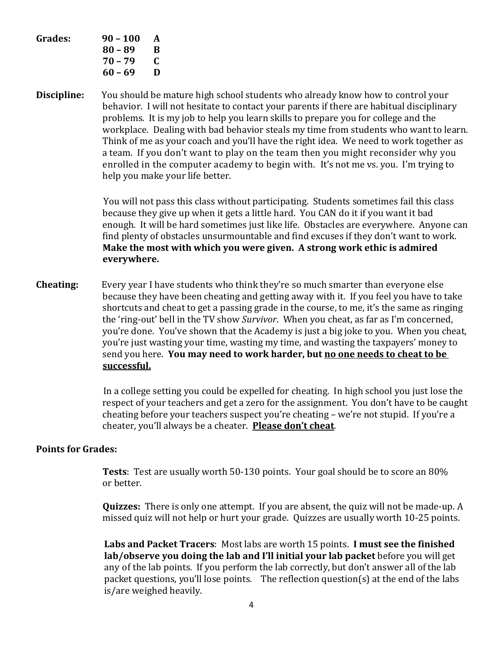| Grades: | $90 - 100$ | A |
|---------|------------|---|
|         | 80 – 89    | B |
|         | 70 – 79    | C |
|         | 60 – 69    | D |
|         |            |   |

**Discipline:** You should be mature high school students who already know how to control your behavior. I will not hesitate to contact your parents if there are habitual disciplinary problems. It is my job to help you learn skills to prepare you for college and the workplace. Dealing with bad behavior steals my time from students who want to learn. Think of me as your coach and you'll have the right idea. We need to work together as a team. If you don't want to play on the team then you might reconsider why you enrolled in the computer academy to begin with. It's not me vs. you. I'm trying to help you make your life better.

> You will not pass this class without participating. Students sometimes fail this class because they give up when it gets a little hard. You CAN do it if you want it bad enough. It will be hard sometimes just like life. Obstacles are everywhere. Anyone can find plenty of obstacles unsurmountable and find excuses if they don't want to work. **Make the most with which you were given. A strong work ethic is admired everywhere.**

**Cheating:** Every year I have students who think they're so much smarter than everyone else because they have been cheating and getting away with it. If you feel you have to take shortcuts and cheat to get a passing grade in the course, to me, it's the same as ringing the 'ring-out' bell in the TV show *Survivor*. When you cheat, as far as I'm concerned, you're done. You've shown that the Academy is just a big joke to you. When you cheat, you're just wasting your time, wasting my time, and wasting the taxpayers' money to send you here. **You may need to work harder, but no one needs to cheat to be successful.**

> In a college setting you could be expelled for cheating. In high school you just lose the respect of your teachers and get a zero for the assignment. You don't have to be caught cheating before your teachers suspect you're cheating – we're not stupid. If you're a cheater, you'll always be a cheater. **Please don't cheat**.

#### **Points for Grades:**

**Tests**: Test are usually worth 50-130 points. Your goal should be to score an 80% or better.

**Quizzes:** There is only one attempt. If you are absent, the quiz will not be made-up. A missed quiz will not help or hurt your grade. Quizzes are usually worth 10-25 points.

**Labs and Packet Tracers**: Most labs are worth 15 points. **I must see the finished lab/observe you doing the lab and I'll initial your lab packet** before you will get any of the lab points. If you perform the lab correctly, but don't answer all of the lab packet questions, you'll lose points. The reflection question(s) at the end of the labs is/are weighed heavily.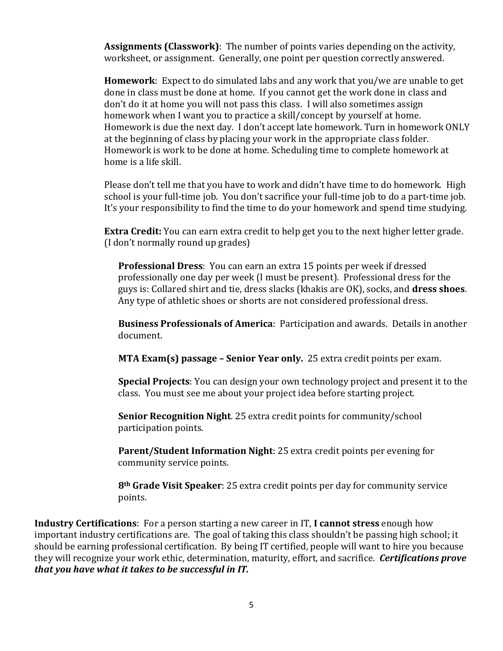**Assignments (Classwork)**: The number of points varies depending on the activity, worksheet, or assignment. Generally, one point per question correctly answered.

**Homework**: Expect to do simulated labs and any work that you/we are unable to get done in class must be done at home. If you cannot get the work done in class and don't do it at home you will not pass this class. I will also sometimes assign homework when I want you to practice a skill/concept by yourself at home. Homework is due the next day. I don't accept late homework. Turn in homework ONLY at the beginning of class by placing your work in the appropriate class folder. Homework is work to be done at home. Scheduling time to complete homework at home is a life skill.

Please don't tell me that you have to work and didn't have time to do homework. High school is your full-time job. You don't sacrifice your full-time job to do a part-time job. It's your responsibility to find the time to do your homework and spend time studying.

**Extra Credit:** You can earn extra credit to help get you to the next higher letter grade. (I don't normally round up grades)

**Professional Dress**: You can earn an extra 15 points per week if dressed professionally one day per week (I must be present). Professional dress for the guys is: Collared shirt and tie, dress slacks (khakis are OK), socks, and **dress shoes**. Any type of athletic shoes or shorts are not considered professional dress.

**Business Professionals of America**: Participation and awards. Details in another document.

**MTA Exam(s) passage – Senior Year only.** 25 extra credit points per exam.

**Special Projects**: You can design your own technology project and present it to the class. You must see me about your project idea before starting project.

**Senior Recognition Night**. 25 extra credit points for community/school participation points.

**Parent/Student Information Night**: 25 extra credit points per evening for community service points.

**8th Grade Visit Speaker**: 25 extra credit points per day for community service points.

**Industry Certifications**: For a person starting a new career in IT, **I cannot stress** enough how important industry certifications are. The goal of taking this class shouldn't be passing high school; it should be earning professional certification. By being IT certified, people will want to hire you because they will recognize your work ethic, determination, maturity, effort, and sacrifice. *Certifications prove that you have what it takes to be successful in IT.*